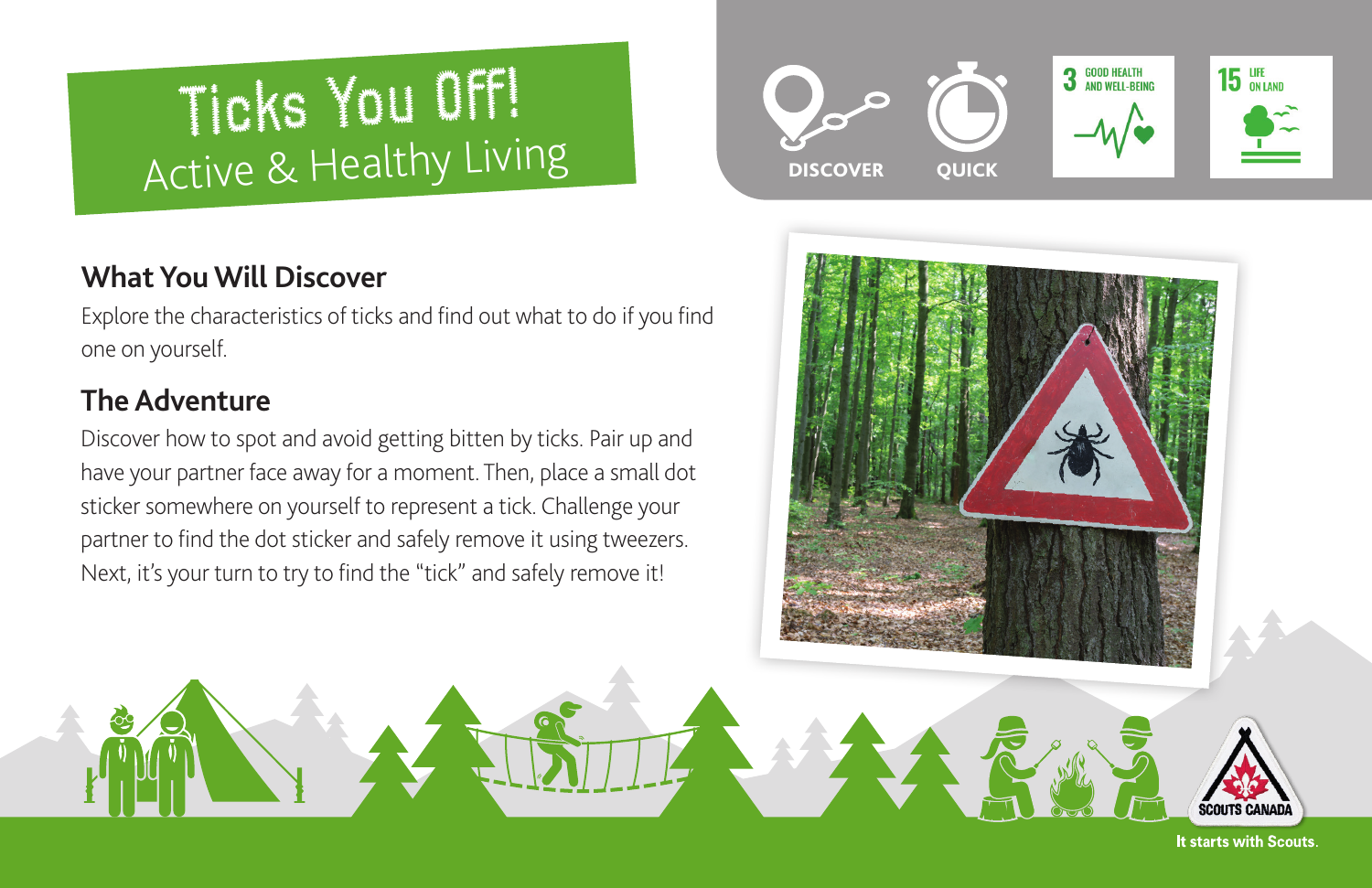# Ticks You Off! Active & Healthy Living

# **What You Will Discover**

Explore the characteristics of ticks and find out what to do if you find one on yourself.

# **The Adventure**

Discover how to spot and avoid getting bitten by ticks. Pair up and have your partner face away for a moment. Then, place a small dot sticker somewhere on yourself to represent a tick. Challenge your partner to find the dot sticker and safely remove it using tweezers. Next, it's your turn to try to find the "tick" and safely remove it!





It starts with Scouts.